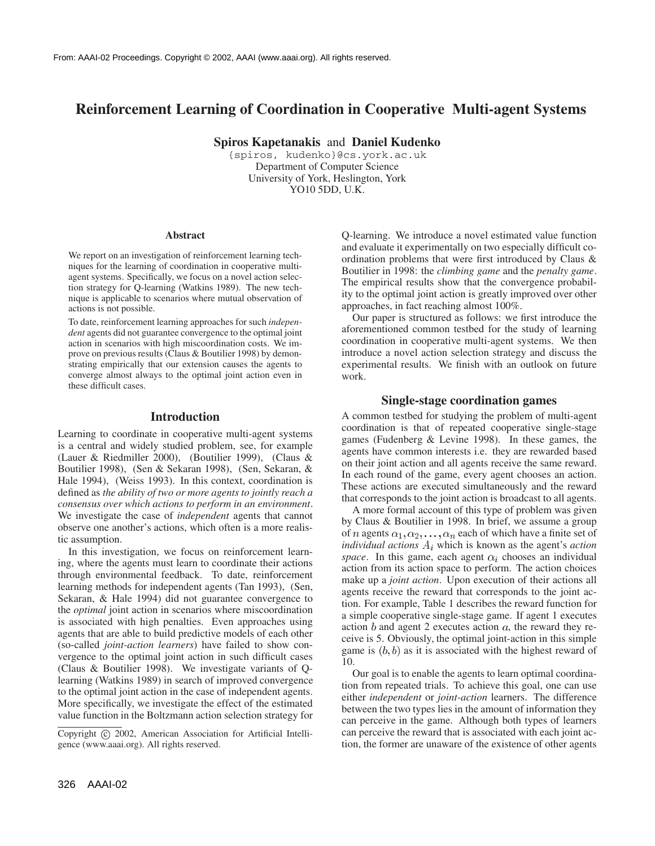# **Reinforcement Learning of Coordination in Cooperative Multi-agent Systems**

**Spiros Kapetanakis** and **Daniel Kudenko**

{spiros, kudenko}@cs.york.ac.uk Department of Computer Science University of York, Heslington, York YO10 5DD, U.K.

#### **Abstract**

We report on an investigation of reinforcement learning techniques for the learning of coordination in cooperative multiagent systems. Specifically, we focus on a novel action selection strategy for Q-learning (Watkins 1989). The new technique is applicable to scenarios where mutual observation of actions is not possible.

To date, reinforcement learning approaches for such *independent* agents did not guarantee convergence to the optimal joint action in scenarios with high miscoordination costs. We improve on previous results (Claus & Boutilier 1998) by demonstrating empirically that our extension causes the agents to converge almost always to the optimal joint action even in these difficult cases.

# **Introduction**

Learning to coordinate in cooperative multi-agent systems is a central and widely studied problem, see, for example (Lauer & Riedmiller 2000), (Boutilier 1999), (Claus & Boutilier 1998), (Sen & Sekaran 1998), (Sen, Sekaran, & Hale 1994), (Weiss 1993). In this context, coordination is defined as *the ability of two or more agents to jointly reach a consensus over which actions to perform in an environment*. We investigate the case of *independent* agents that cannot observe one another's actions, which often is a more realistic assumption.

In this investigation, we focus on reinforcement learning, where the agents must learn to coordinate their actions through environmental feedback. To date, reinforcement learning methods for independent agents (Tan 1993), (Sen, Sekaran, & Hale 1994) did not guarantee convergence to the *optimal* joint action in scenarios where miscoordination is associated with high penalties. Even approaches using agents that are able to build predictive models of each other (so-called *joint-action learners*) have failed to show convergence to the optimal joint action in such difficult cases (Claus & Boutilier 1998). We investigate variants of Qlearning (Watkins 1989) in search of improved convergence to the optimal joint action in the case of independent agents. More specifically, we investigate the effect of the estimated value function in the Boltzmann action selection strategy for

Q-learning. We introduce a novel estimated value function and evaluate it experimentally on two especially difficult coordination problems that were first introduced by Claus & Boutilier in 1998: the *climbing game* and the *penalty game*. The empirical results show that the convergence probability to the optimal joint action is greatly improved over other approaches, in fact reaching almost 100%.

Our paper is structured as follows: we first introduce the aforementioned common testbed for the study of learning coordination in cooperative multi-agent systems. We then introduce a novel action selection strategy and discuss the experimental results. We finish with an outlook on future work.

## **Single-stage coordination games**

A common testbed for studying the problem of multi-agent coordination is that of repeated cooperative single-stage games (Fudenberg & Levine 1998). In these games, the agents have common interests i.e. they are rewarded based on their joint action and all agents receive the same reward. In each round of the game, every agent chooses an action. These actions are executed simultaneously and the reward that corresponds to the joint action is broadcast to all agents.

A more formal account of this type of problem was given by Claus & Boutilier in 1998. In brief, we assume a group of *n* agents  $\alpha_1, \alpha_2, \dots, \alpha_n$  each of which have a finite set of *individual actions*  $A_i$  which is known as the agent's *action space*. In this game, each agent  $\alpha_i$  chooses an individual action from its action space to perform. The action choices make up a *joint action*. Upon execution of their actions all agents receive the reward that corresponds to the joint action. For example, Table 1 describes the reward function for a simple cooperative single-stage game. If agent 1 executes action  $b$  and agent 2 executes action  $a$ , the reward they receive is 5. Obviously, the optimal joint-action in this simple game is  $(b, b)$  as it is associated with the highest reward of 10.

Our goal is to enable the agents to learn optimal coordination from repeated trials. To achieve this goal, one can use either *independent* or *joint-action* learners. The difference between the two types lies in the amount of information they can perceive in the game. Although both types of learners can perceive the reward that is associated with each joint action, the former are unaware of the existence of other agents

Copyright (C) 2002, American Association for Artificial Intelligence (www.aaai.org). All rights reserved.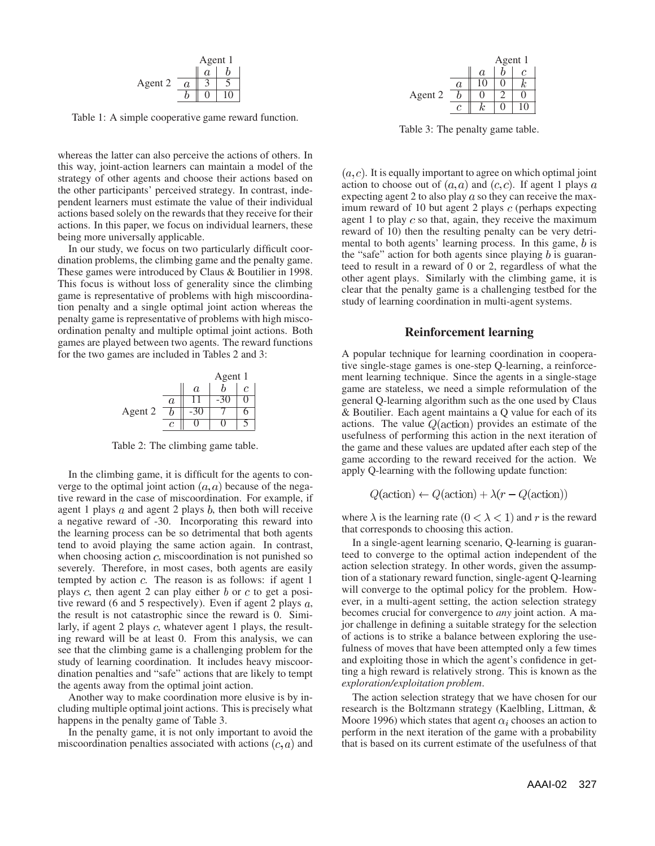

Table 1: A simple cooperative game reward function.

whereas the latter can also perceive the actions of others. In this way, joint-action learners can maintain a model of the strategy of other agents and choose their actions based on the other participants' perceived strategy. In contrast, independent learners must estimate the value of their individual actions based solely on the rewards that they receive for their actions. In this paper, we focus on individual learners, these being more universally applicable.

In our study, we focus on two particularly difficult coordination problems, the climbing game and the penalty game. These games were introduced by Claus & Boutilier in 1998. This focus is without loss of generality since the climbing game is representative of problems with high miscoordination penalty and a single optimal joint action whereas the penalty game is representative of problems with high miscoordination penalty and multiple optimal joint actions. Both games are played between two agents. The reward functions for the two games are included in Tables 2 and 3:



Table 2: The climbing game table.

In the climbing game, it is difficult for the agents to converge to the optimal joint action  $(a, a)$  because of the negative reward in the case of miscoordination. For example, if agent 1 plays  $a$  and agent 2 plays  $b$ , then both will receive a negative reward of -30. Incorporating this reward into the learning process can be so detrimental that both agents tend to avoid playing the same action again. In contrast, when choosing action  $c$ , miscoordination is not punished so severely. Therefore, in most cases, both agents are easily tempted by action  $c$ . The reason is as follows: if agent 1 plays  $c$ , then agent 2 can play either  $b$  or  $c$  to get a positive reward (6 and 5 respectively). Even if agent 2 plays  $a$ , the result is not catastrophic since the reward is 0. Similarly, if agent 2 plays  $c$ , whatever agent 1 plays, the resulting reward will be at least 0. From this analysis, we can see that the climbing game is a challenging problem for the study of learning coordination. It includes heavy miscoordination penalties and "safe" actions that are likely to tempt the agents away from the optimal joint action.

Another way to make coordination more elusive is by including multiple optimal joint actions. This is precisely what happens in the penalty game of Table 3.

In the penalty game, it is not only important to avoid the miscoordination penalties associated with actions  $(c, a)$  and

|         |   | Agent 1        |  |                  |
|---------|---|----------------|--|------------------|
|         |   | $\overline{a}$ |  | C                |
|         | а |                |  |                  |
| Agent 2 |   |                |  |                  |
|         | C |                |  | $\left( \right)$ |

Table 3: The penalty game table.

 $(a, c)$ . It is equally important to agree on which optimal joint action to choose out of  $(a, a)$  and  $(c, c)$ . If agent 1 plays a expecting agent 2 to also play  $\alpha$  so they can receive the maximum reward of 10 but agent 2 plays  $c$  (perhaps expecting agent 1 to play  $c$  so that, again, they receive the maximum reward of 10) then the resulting penalty can be very detrimental to both agents' learning process. In this game,  $b$  is the "safe" action for both agents since playing  $b$  is guaranteed to result in a reward of 0 or 2, regardless of what the other agent plays. Similarly with the climbing game, it is clear that the penalty game is a challenging testbed for the study of learning coordination in multi-agent systems.

#### **Reinforcement learning**

A popular technique for learning coordination in cooperative single-stage games is one-step Q-learning, a reinforcement learning technique. Since the agents in a single-stage game are stateless, we need a simple reformulation of the general Q-learning algorithm such as the one used by Claus & Boutilier. Each agent maintains a Q value for each of its actions. The value  $Q(\text{action})$  provides an estimate of the usefulness of performing this action in the next iteration of the game and these values are updated after each step of the game according to the reward received for the action. We apply Q-learning with the following update function:

$$
Q(\text{action}) \leftarrow Q(\text{action}) + \lambda (r - Q(\text{action}))
$$

where  $\lambda$  is the learning rate  $(0 < \lambda < 1)$  and r is the reward that corresponds to choosing this action.

In a single-agent learning scenario, Q-learning is guaranteed to converge to the optimal action independent of the action selection strategy. In other words, given the assumption of a stationary reward function, single-agent Q-learning will converge to the optimal policy for the problem. However, in a multi-agent setting, the action selection strategy becomes crucial for convergence to *any* joint action. A major challenge in defining a suitable strategy for the selection of actions is to strike a balance between exploring the usefulness of moves that have been attempted only a few times and exploiting those in which the agent's confidence in getting a high reward is relatively strong. This is known as the *exploration/exploitation problem*.

The action selection strategy that we have chosen for our research is the Boltzmann strategy (Kaelbling, Littman, & Moore 1996) which states that agent  $\alpha_i$  chooses an action to perform in the next iteration of the game with a probability that is based on its current estimate of the usefulness of that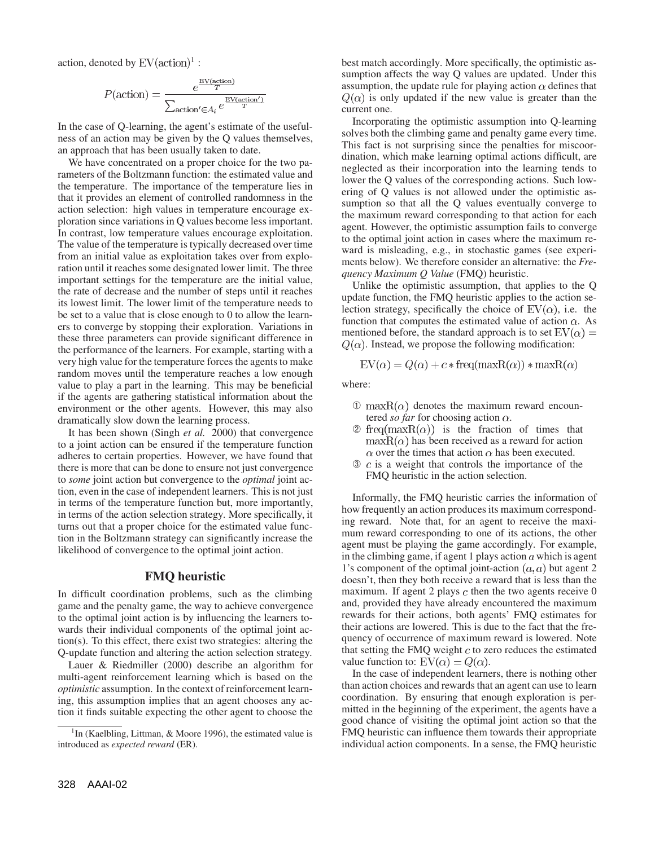action, denoted by  $EV(\text{action})^1$ :

$$
P(\text{action}) = \frac{e^{\frac{EV(\text{action})}{T}}}{\sum_{\text{action}' \in A_i} e^{\frac{EV(\text{action}')}{T}}}
$$

In the case of Q-learning, the agent's estimate of the usefulness of an action may be given by the Q values themselves, an approach that has been usually taken to date.

We have concentrated on a proper choice for the two parameters of the Boltzmann function: the estimated value and the temperature. The importance of the temperature lies in that it provides an element of controlled randomness in the action selection: high values in temperature encourage exploration since variations in Q values become less important. In contrast, low temperature values encourage exploitation. The value of the temperature is typically decreased over time from an initial value as exploitation takes over from exploration until it reaches some designated lower limit. The three important settings for the temperature are the initial value, the rate of decrease and the number of steps until it reaches its lowest limit. The lower limit of the temperature needs to be set to a value that is close enough to 0 to allow the learners to converge by stopping their exploration. Variations in these three parameters can provide significant difference in the performance of the learners. For example, starting with a very high value for the temperature forces the agents to make random moves until the temperature reaches a low enough value to play a part in the learning. This may be beneficial if the agents are gathering statistical information about the environment or the other agents. However, this may also dramatically slow down the learning process.

It has been shown (Singh *et al.* 2000) that convergence to a joint action can be ensured if the temperature function adheres to certain properties. However, we have found that there is more that can be done to ensure not just convergence to *some* joint action but convergence to the *optimal* joint action, even in the case of independent learners. This is not just in terms of the temperature function but, more importantly, in terms of the action selection strategy. More specifically, it turns out that a proper choice for the estimated value function in the Boltzmann strategy can significantly increase the likelihood of convergence to the optimal joint action.

# **FMQ heuristic**

In difficult coordination problems, such as the climbing game and the penalty game, the way to achieve convergence to the optimal joint action is by influencing the learners towards their individual components of the optimal joint action(s). To this effect, there exist two strategies: altering the Q-update function and altering the action selection strategy.

Lauer & Riedmiller (2000) describe an algorithm for multi-agent reinforcement learning which is based on the *optimistic* assumption. In the context of reinforcement learning, this assumption implies that an agent chooses any action it finds suitable expecting the other agent to choose the

best match accordingly. More specifically, the optimistic assumption affects the way Q values are updated. Under this assumption, the update rule for playing action  $\alpha$  defines that  $Q(\alpha)$  is only updated if the new value is greater than the current one.

Incorporating the optimistic assumption into Q-learning solves both the climbing game and penalty game every time. This fact is not surprising since the penalties for miscoordination, which make learning optimal actions difficult, are neglected as their incorporation into the learning tends to lower the Q values of the corresponding actions. Such lowering of Q values is not allowed under the optimistic assumption so that all the Q values eventually converge to the maximum reward corresponding to that action for each agent. However, the optimistic assumption fails to converge to the optimal joint action in cases where the maximum reward is misleading, e.g., in stochastic games (see experiments below). We therefore consider an alternative: the *Frequency Maximum Q Value* (FMQ) heuristic.

Unlike the optimistic assumption, that applies to the Q update function, the FMQ heuristic applies to the action selection strategy, specifically the choice of  $EV(\alpha)$ , i.e. the function that computes the estimated value of action  $\alpha$ . As mentioned before, the standard approach is to set  $EV(\alpha) =$  $Q(\alpha)$ . Instead, we propose the following modification:

$$
EV(\alpha) = Q(\alpha) + c * freq(maxR(\alpha)) * maxR(\alpha)
$$

where:

- $\mathcal{D}$  max $R(\alpha)$  denotes the maximum reward encountered *so far* for choosing action  $\alpha$ .
- $\mathcal{D}$  freq(maxR( $\alpha$ )) is the fraction of times that  $maxR(\alpha)$  has been received as a reward for action  $\alpha$  over the times that action  $\alpha$  has been executed.
- $\odot$  c is a weight that controls the importance of the FMQ heuristic in the action selection.

Informally, the FMQ heuristic carries the information of how frequently an action produces its maximum corresponding reward. Note that, for an agent to receive the maximum reward corresponding to one of its actions, the other agent must be playing the game accordingly. For example, in the climbing game, if agent 1 plays action  $a$  which is agent 1's component of the optimal joint-action  $(a, a)$  but agent 2 doesn't, then they both receive a reward that is less than the maximum. If agent 2 plays  $c$  then the two agents receive 0 and, provided they have already encountered the maximum rewards for their actions, both agents' FMQ estimates for their actions are lowered. This is due to the fact that the frequency of occurrence of maximum reward is lowered. Note that setting the FMQ weight  $c$  to zero reduces the estimated value function to:  $EV(\alpha) = Q(\alpha)$ .

In the case of independent learners, there is nothing other than action choices and rewards that an agent can use to learn coordination. By ensuring that enough exploration is permitted in the beginning of the experiment, the agents have a good chance of visiting the optimal joint action so that the FMQ heuristic can influence them towards their appropriate individual action components. In a sense, the FMQ heuristic

<sup>&</sup>lt;sup>1</sup>In (Kaelbling, Littman, & Moore 1996), the estimated value is introduced as *expected reward* (ER).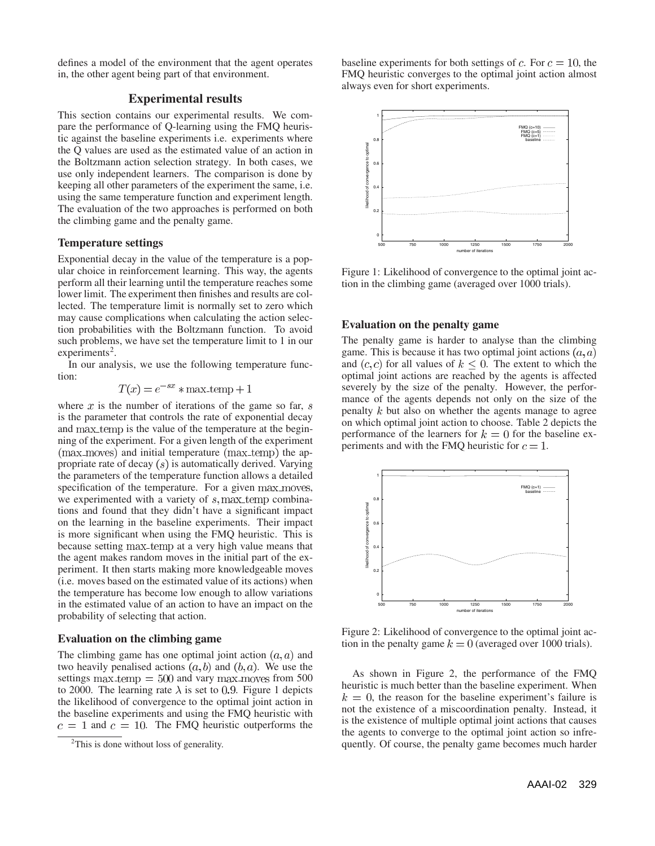defines a model of the environment that the agent operates in, the other agent being part of that environment.

## **Experimental results**

This section contains our experimental results. We compare the performance of Q-learning using the FMQ heuristic against the baseline experiments i.e. experiments where the Q values are used as the estimated value of an action in the Boltzmann action selection strategy. In both cases, we use only independent learners. The comparison is done by keeping all other parameters of the experiment the same, i.e. using the same temperature function and experiment length. The evaluation of the two approaches is performed on both the climbing game and the penalty game.

#### **Temperature settings**

Exponential decay in the value of the temperature is a popular choice in reinforcement learning. This way, the agents perform all their learning until the temperature reaches some lower limit. The experiment then finishes and results are collected. The temperature limit is normally set to zero which may cause complications when calculating the action selection probabilities with the Boltzmann function. To avoid such problems, we have set the temperature limit to 1 in our  $experiments<sup>2</sup>$ .

In our analysis, we use the following temperature function:

 $T(x) = e^{-sx} * \text{max}$ -temp + 1

where  $x$  is the number of iterations of the game so far,  $s$ is the parameter that controls the rate of exponential decay and max temp is the value of the temperature at the beginning of the experiment. For a given length of the experiment  $(max_moves)$  and initial temperature  $(max_temp)$  the appropriate rate of decay  $(s)$  is automatically derived. Varying the parameters of the temperature function allows a detailed specification of the temperature. For a given max moves, we experimented with a variety of  $s$ ,  $max$ -temp combinations and found that they didn't have a significant impact on the learning in the baseline experiments. Their impact is more significant when using the FMQ heuristic. This is because setting max\_temp at a very high value means that the agent makes random moves in the initial part of the experiment. It then starts making more knowledgeable moves (i.e. moves based on the estimated value of its actions) when the temperature has become low enough to allow variations in the estimated value of an action to have an impact on the probability of selecting that action.

#### **Evaluation on the climbing game**

The climbing game has one optimal joint action  $(a, a)$  and two heavily penalised actions  $(a, b)$  and  $(b, a)$ . We use the settings max-temp  $= 500$  and vary max-moves from 500 to 2000. The learning rate  $\lambda$  is set to 0.9. Figure 1 depicts the likelihood of convergence to the optimal joint action in the baseline experiments and using the FMQ heuristic with  $c = 1$  and  $c = 10$ . The FMQ heuristic outperforms the

baseline experiments for both settings of c. For  $c = 10$ , the FMQ heuristic converges to the optimal joint action almost always even for short experiments.



Figure 1: Likelihood of convergence to the optimal joint action in the climbing game (averaged over 1000 trials).

#### **Evaluation on the penalty game**

The penalty game is harder to analyse than the climbing game. This is because it has two optimal joint actions  $(a, a)$ and  $(c, c)$  for all values of  $k \leq 0$ . The extent to which the optimal joint actions are reached by the agents is affected severely by the size of the penalty. However, the performance of the agents depends not only on the size of the penalty  $k$  but also on whether the agents manage to agree on which optimal joint action to choose. Table 2 depicts the performance of the learners for  $k = 0$  for the baseline experiments and with the FMQ heuristic for  $c = 1$ .



Figure 2: Likelihood of convergence to the optimal joint action in the penalty game  $k = 0$  (averaged over 1000 trials).

As shown in Figure 2, the performance of the FMQ heuristic is much better than the baseline experiment. When  $k = 0$ , the reason for the baseline experiment's failure is not the existence of a miscoordination penalty. Instead, it is the existence of multiple optimal joint actions that causes the agents to converge to the optimal joint action so infrequently. Of course, the penalty game becomes much harder

<sup>&</sup>lt;sup>2</sup>This is done without loss of generality.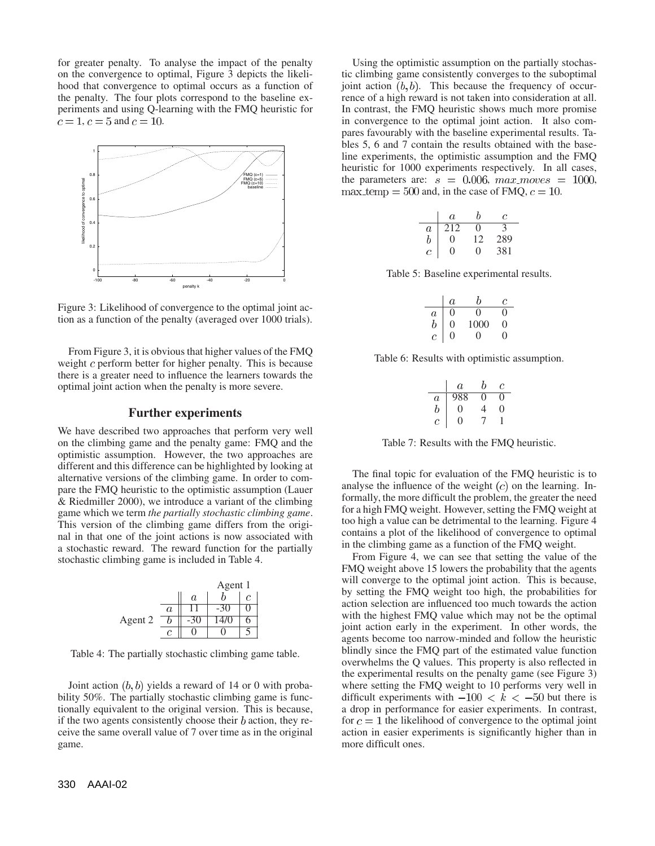for greater penalty. To analyse the impact of the penalty on the convergence to optimal, Figure 3 depicts the likelihood that convergence to optimal occurs as a function of the penalty. The four plots correspond to the baseline experiments and using Q-learning with the FMQ heuristic for  $c = 1, c = 5$  and  $c = 10$ .



Figure 3: Likelihood of convergence to the optimal joint action as a function of the penalty (averaged over 1000 trials).

From Figure 3, it is obvious that higher values of the FMQ weight  $c$  perform better for higher penalty. This is because there is a greater need to influence the learners towards the optimal joint action when the penalty is more severe.

### **Further experiments**

We have described two approaches that perform very well on the climbing game and the penalty game: FMQ and the optimistic assumption. However, the two approaches are different and this difference can be highlighted by looking at alternative versions of the climbing game. In order to compare the FMQ heuristic to the optimistic assumption (Lauer & Riedmiller 2000), we introduce a variant of the climbing game which we term *the partially stochastic climbing game*. This version of the climbing game differs from the original in that one of the joint actions is now associated with a stochastic reward. The reward function for the partially stochastic climbing game is included in Table 4.



Table 4: The partially stochastic climbing game table.

Joint action  $(b, b)$  yields a reward of 14 or 0 with probability 50%. The partially stochastic climbing game is functionally equivalent to the original version. This is because, if the two agents consistently choose their  $b$  action, they receive the same overall value of 7 over time as in the original game.

Using the optimistic assumption on the partially stochastic climbing game consistently converges to the suboptimal joint action  $(b, b)$ . This because the frequency of occurrence of a high reward is not taken into consideration at all. In contrast, the FMQ heuristic shows much more promise in convergence to the optimal joint action. It also compares favourably with the baseline experimental results. Tables 5, 6 and 7 contain the results obtained with the baseline experiments, the optimistic assumption and the FMQ heuristic for 1000 experiments respectively. In all cases, the parameters are:  $s = 0.006$ ,  $max\_moves = 1000$ , max temp  $=$  500 and, in the case of FMQ,  $c = 10$ .

|         | a   | h  | C   |
|---------|-----|----|-----|
| $\it a$ | 212 | 0  |     |
| b       | 0   | 12 | 289 |
| $\,c\,$ | 0   | 0  | 381 |

Table 5: Baseline experimental results.

|                  | $\overline{a}$ | h    | C |
|------------------|----------------|------|---|
| $\boldsymbol{a}$ |                |      |   |
| $\boldsymbol{b}$ | 0              | 1000 | 0 |
| $\overline{c}$   |                |      |   |

Table 6: Results with optimistic assumption.

|                | $\overline{a}$ | Ь | Ċ |
|----------------|----------------|---|---|
| $\overline{a}$ | 988            |   |   |
| b              | 0              | 4 | 0 |
| c              | 0              | 7 |   |

Table 7: Results with the FMQ heuristic.

The final topic for evaluation of the FMQ heuristic is to analyse the influence of the weight  $(c)$  on the learning. Informally, the more difficult the problem, the greater the need for a high FMQ weight. However, setting the FMQ weight at too high a value can be detrimental to the learning. Figure 4 contains a plot of the likelihood of convergence to optimal in the climbing game as a function of the FMQ weight.

From Figure 4, we can see that setting the value of the FMQ weight above 15 lowers the probability that the agents will converge to the optimal joint action. This is because, by setting the FMQ weight too high, the probabilities for action selection are influenced too much towards the action with the highest FMQ value which may not be the optimal joint action early in the experiment. In other words, the agents become too narrow-minded and follow the heuristic blindly since the FMQ part of the estimated value function overwhelms the Q values. This property is also reflected in the experimental results on the penalty game (see Figure 3) where setting the FMQ weight to 10 performs very well in difficult experiments with  $-100 < k < -50$  but there is a drop in performance for easier experiments. In contrast, for  $c = 1$  the likelihood of convergence to the optimal joint action in easier experiments is significantly higher than in more difficult ones.